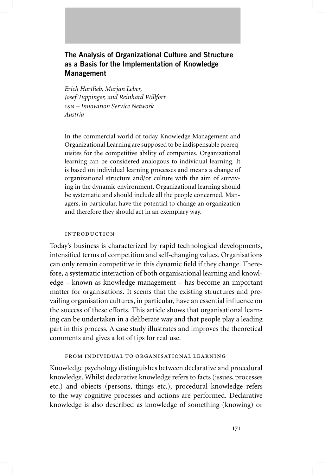# **The Analysis of Organizational Culture and Structure as a Basis for the Implementation of Knowledge Management**

*Erich Hartlieb, Marjan Leber, Josef Tuppinger, and Reinhard Willfort – Innovation Service Network Austria*

In the commercial world of today Knowledge Management and Organizational Learning are supposed to be indispensable prerequisites for the competitive ability of companies. Organizational learning can be considered analogous to individual learning. It is based on individual learning processes and means a change of organizational structure and/or culture with the aim of surviving in the dynamic environment. Organizational learning should be systematic and should include all the people concerned. Managers, in particular, have the potential to change an organization and therefore they should act in an exemplary way.

# **INTRODUCTION**

Today's business is characterized by rapid technological developments, intensified terms of competition and self-changing values. Organisations can only remain competitive in this dynamic field if they change. Therefore, a systematic interaction of both organisational learning and knowledge – known as knowledge management – has become an important matter for organisations. It seems that the existing structures and prevailing organisation cultures, in particular, have an essential influence on the success of these efforts. This article shows that organisational learning can be undertaken in a deliberate way and that people play a leading part in this process. A case study illustrates and improves the theoretical comments and gives a lot of tips for real use.

# FROM INDIVIDUAL TO ORGANISATIONAL LEARNING

Knowledge psychology distinguishes between declarative and procedural knowledge. Whilst declarative knowledge refers to facts (issues, processes etc.) and objects (persons, things etc.), procedural knowledge refers to the way cognitive processes and actions are performed. Declarative knowledge is also described as knowledge of something (knowing) or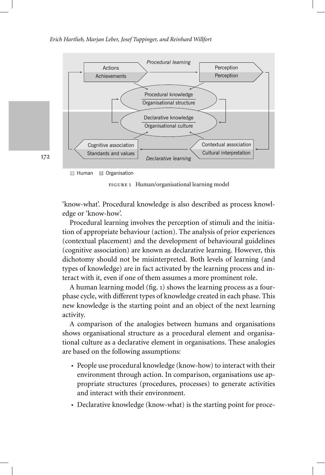

172

 $\Box$  Human  $\Box$  Organisation

FIGURE 1 Human/organisational learning model

'know-what'. Procedural knowledge is also described as process knowledge or 'know-how'.

Procedural learning involves the perception of stimuli and the initiation of appropriate behaviour (action). The analysis of prior experiences (contextual placement) and the development of behavioural guidelines (cognitive association) are known as declarative learning. However, this dichotomy should not be misinterpreted. Both levels of learning (and types of knowledge) are in fact activated by the learning process and interact with it, even if one of them assumes a more prominent role.

A human learning model (fig. 1) shows the learning process as a fourphase cycle, with different types of knowledge created in each phase. This new knowledge is the starting point and an object of the next learning activity.

A comparison of the analogies between humans and organisations shows organisational structure as a procedural element and organisational culture as a declarative element in organisations. These analogies are based on the following assumptions:

- People use procedural knowledge (know-how) to interact with their environment through action. In comparison, organisations use appropriate structures (procedures, processes) to generate activities and interact with their environment.
- Declarative knowledge (know-what) is the starting point for proce-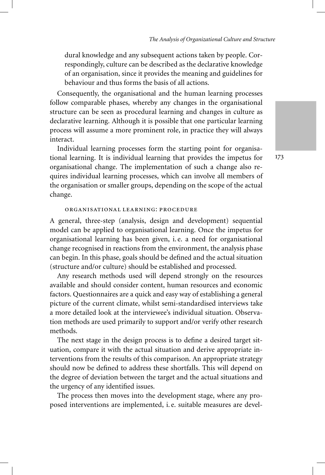dural knowledge and any subsequent actions taken by people. Correspondingly, culture can be described as the declarative knowledge of an organisation, since it provides the meaning and guidelines for behaviour and thus forms the basis of all actions.

Consequently, the organisational and the human learning processes follow comparable phases, whereby any changes in the organisational structure can be seen as procedural learning and changes in culture as declarative learning. Although it is possible that one particular learning process will assume a more prominent role, in practice they will always interact.

Individual learning processes form the starting point for organisational learning. It is individual learning that provides the impetus for organisational change. The implementation of such a change also requires individual learning processes, which can involve all members of the organisation or smaller groups, depending on the scope of the actual change.

### ORGANISATIONAL LEARNING: PROCEDURE

A general, three-step (analysis, design and development) sequential model can be applied to organisational learning. Once the impetus for organisational learning has been given, i. e. a need for organisational change recognised in reactions from the environment, the analysis phase can begin. In this phase, goals should be defined and the actual situation (structure and/or culture) should be established and processed.

Any research methods used will depend strongly on the resources available and should consider content, human resources and economic factors. Questionnaires are a quick and easy way of establishing a general picture of the current climate, whilst semi-standardised interviews take a more detailed look at the interviewee's individual situation. Observation methods are used primarily to support and/or verify other research methods.

The next stage in the design process is to define a desired target situation, compare it with the actual situation and derive appropriate interventions from the results of this comparison. An appropriate strategy should now be defined to address these shortfalls. This will depend on the degree of deviation between the target and the actual situations and the urgency of any identified issues.

The process then moves into the development stage, where any proposed interventions are implemented, i. e. suitable measures are devel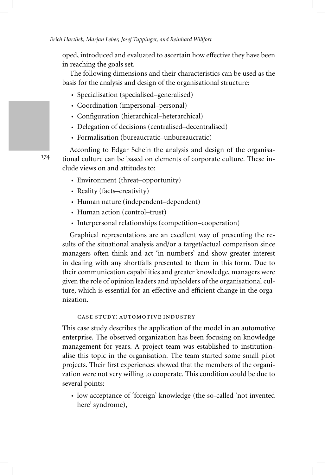oped, introduced and evaluated to ascertain how effective they have been in reaching the goals set.

The following dimensions and their characteristics can be used as the basis for the analysis and design of the organisational structure:

- Specialisation (specialised–generalised)
- Coordination (impersonal–personal)
- Configuration (hierarchical–heterarchical)
- Delegation of decisions (centralised–decentralised)
- Formalisation (bureaucratic–unbureaucratic)

According to Edgar Schein the analysis and design of the organisational culture can be based on elements of corporate culture. These include views on and attitudes to:

- Environment (threat–opportunity)
- Reality (facts–creativity)
- Human nature (independent–dependent)
- Human action (control–trust)
- Interpersonal relationships (competition–cooperation)

Graphical representations are an excellent way of presenting the results of the situational analysis and/or a target/actual comparison since managers often think and act 'in numbers' and show greater interest in dealing with any shortfalls presented to them in this form. Due to their communication capabilities and greater knowledge, managers were given the role of opinion leaders and upholders of the organisational culture, which is essential for an effective and efficient change in the organization.

# CASE STUDY: AUTOMOTIVE INDUSTRY

This case study describes the application of the model in an automotive enterprise. The observed organization has been focusing on knowledge management for years. A project team was established to institutionalise this topic in the organisation. The team started some small pilot projects. Their first experiences showed that the members of the organization were not very willing to cooperate. This condition could be due to several points:

• low acceptance of 'foreign' knowledge (the so-called 'not invented here' syndrome),

174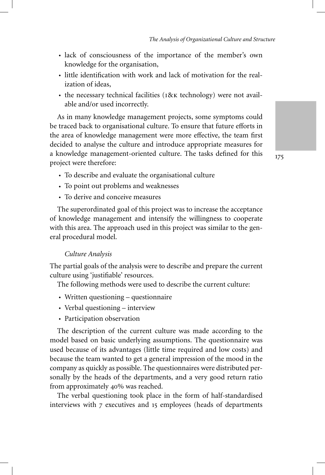- lack of consciousness of the importance of the member's own knowledge for the organisation,
- little identification with work and lack of motivation for the realization of ideas,
- the necessary technical facilities ( $18x$  technology) were not available and/or used incorrectly.

As in many knowledge management projects, some symptoms could be traced back to organisational culture. To ensure that future efforts in the area of knowledge management were more effective, the team first decided to analyse the culture and introduce appropriate measures for a knowledge management-oriented culture. The tasks defined for this project were therefore:

175

- To describe and evaluate the organisational culture
- To point out problems and weaknesses
- To derive and conceive measures

The superordinated goal of this project was to increase the acceptance of knowledge management and intensify the willingness to cooperate with this area. The approach used in this project was similar to the general procedural model.

### *Culture Analysis*

The partial goals of the analysis were to describe and prepare the current culture using 'justifiable' resources.

The following methods were used to describe the current culture:

- Written questioning questionnaire
- Verbal questioning interview
- Participation observation

The description of the current culture was made according to the model based on basic underlying assumptions. The questionnaire was used because of its advantages (little time required and low costs) and because the team wanted to get a general impression of the mood in the company as quickly as possible. The questionnaires were distributed personally by the heads of the departments, and a very good return ratio from approximately 40% was reached.

The verbal questioning took place in the form of half-standardised interviews with 7 executives and 15 employees (heads of departments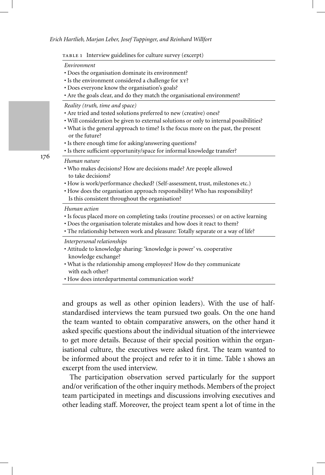|  |  |  | TABLE 1 Interview guidelines for culture survey (excerpt) |  |  |
|--|--|--|-----------------------------------------------------------|--|--|
|--|--|--|-----------------------------------------------------------|--|--|

#### *Environment*

- Does the organisation dominate its environment?
- Is the environment considered a challenge for xy?
- Does everyone know the organisation's goals?
- Are the goals clear, and do they match the organisational environment?

*Reality (truth, time and space)*

- Are tried and tested solutions preferred to new (creative) ones?
- Will consideration be given to external solutions or only to internal possibilities?
- What is the general approach to time? Is the focus more on the past, the present or the future?
- Is there enough time for asking/answering questions?
- Is there sufficient opportunity/space for informal knowledge transfer?

### *Human nature*

- Who makes decisions? How are decisions made? Are people allowed to take decisions?
- How is work/performance checked? (Self-assessment, trust, milestones etc.)
- How does the organisation approach responsibility? Who has responsibility? Is this consistent throughout the organisation?

#### *Human action*

- Is focus placed more on completing tasks (routine processes) or on active learning
- Does the organisation tolerate mistakes and how does it react to them?
- The relationship between work and pleasure: Totally separate or a way of life?

*Interpersonal relationships*

- Attitude to knowledge sharing: 'knowledge is power' vs. cooperative knowledge exchange?
- What is the relationship among employees? How do they communicate with each other?
- How does interdepartmental communication work?

and groups as well as other opinion leaders). With the use of halfstandardised interviews the team pursued two goals. On the one hand the team wanted to obtain comparative answers, on the other hand it asked specific questions about the individual situation of the interviewee to get more details. Because of their special position within the organisational culture, the executives were asked first. The team wanted to be informed about the project and refer to it in time. Table 1 shows an excerpt from the used interview.

The participation observation served particularly for the support and/or verification of the other inquiry methods. Members of the project team participated in meetings and discussions involving executives and other leading staff. Moreover, the project team spent a lot of time in the

176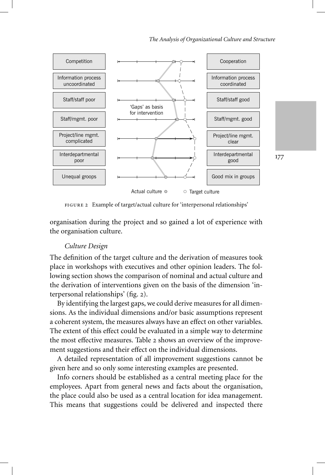

Example of target/actual culture for 'interpersonal relationships'

organisation during the project and so gained a lot of experience with the organisation culture.

# *Culture Design*

The definition of the target culture and the derivation of measures took place in workshops with executives and other opinion leaders. The following section shows the comparison of nominal and actual culture and the derivation of interventions given on the basis of the dimension 'interpersonal relationships' (fig. 2).

By identifying the largest gaps, we could derive measures for all dimensions. As the individual dimensions and/or basic assumptions represent a coherent system, the measures always have an effect on other variables. The extent of this effect could be evaluated in a simple way to determine the most effective measures. Table 2 shows an overview of the improvement suggestions and their effect on the individual dimensions.

A detailed representation of all improvement suggestions cannot be given here and so only some interesting examples are presented.

Info corners should be established as a central meeting place for the employees. Apart from general news and facts about the organisation, the place could also be used as a central location for idea management. This means that suggestions could be delivered and inspected there 177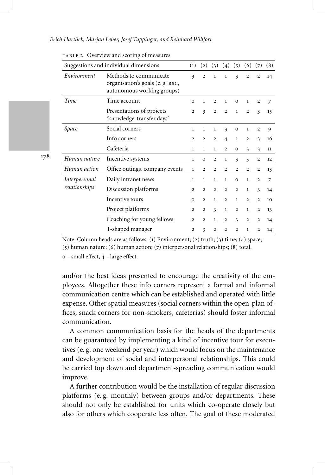|                                       | - . <b>. . . .</b>                                                                      |                   |                   |                         |                         |                |                |                         |                |
|---------------------------------------|-----------------------------------------------------------------------------------------|-------------------|-------------------|-------------------------|-------------------------|----------------|----------------|-------------------------|----------------|
| Suggestions and individual dimensions |                                                                                         | $\left( 1\right)$ | $\left( 2\right)$ | $\left(3\right)$        | (4)                     | (5)            | (6)            | (7)                     | (8)            |
| Environment                           | Methods to communicate<br>organisation's goals (e.g. BSC,<br>autonomous working groups) | 3                 | $\overline{2}$    | $\mathbf{1}$            | 1                       | 3              | $\overline{2}$ | $\overline{2}$          | 14             |
| Time                                  | Time account                                                                            | $\mathbf{o}$      | 1                 | $\mathbf{2}$            | 1                       | $\mathbf{O}$   | $\mathbf{1}$   | $\mathbf{2}$            | 7              |
|                                       | Presentations of projects<br>'knowledge-transfer days'                                  | $\overline{2}$    | 3                 | $\mathbf{2}$            | $\mathbf{2}$            | 1              | $\overline{2}$ | $\overline{\mathbf{3}}$ | 15             |
| Space                                 | Social corners                                                                          | $\mathbf{1}$      | 1                 | 1                       | $\overline{\mathbf{3}}$ | $\mathbf 0$    | 1              | $\overline{2}$          | 9              |
|                                       | Info corners                                                                            | $\mathbf{2}$      | $\overline{2}$    | $\mathbf{2}$            | $\overline{4}$          | $\mathbf{1}$   | $\mathbf{2}$   | $\overline{\mathbf{3}}$ | 16             |
|                                       | Cafeteria                                                                               | 1                 | 1                 | $\mathbf{1}$            | $\overline{2}$          | $\mathbf{O}$   | 3              | 3                       | 11             |
| Human nature                          | Incentive systems                                                                       | $\mathbf{1}$      | $\mathbf{O}$      | $\overline{2}$          | $\mathbf{1}$            | 3              | 3              | $\mathbf{2}$            | 12             |
| Human action                          | Office outings, company events                                                          | $\mathbf{1}$      | $\overline{2}$    | $\overline{2}$          | $\overline{2}$          | $\overline{2}$ | $\overline{2}$ | $\mathbf{2}$            | 13             |
| Interpersonal                         | Daily intranet news                                                                     | 1                 | 1                 | $\mathbf{1}$            | 1                       | $\mathbf{O}$   | $\mathbf{1}$   | $\mathbf{2}$            | $\overline{7}$ |
| relationships                         | Discussion platforms                                                                    | 2                 | $\overline{2}$    | $\overline{2}$          | $\overline{2}$          | $\overline{2}$ | 1              | $\overline{\mathbf{3}}$ | 14             |
|                                       | Incentive tours                                                                         | $\mathbf{o}$      | $\overline{2}$    | $\mathbf{1}$            | $\overline{2}$          | $\mathbf{1}$   | $\overline{2}$ | $\mathbf{2}$            | 10             |
|                                       | Project platforms                                                                       | $\overline{2}$    | $\mathbf{2}$      | $\overline{\mathbf{3}}$ | $\mathbf{1}$            | $\mathbf{2}$   | $\mathbf{1}$   | $\mathbf{2}$            | 13             |
|                                       | Coaching for young fellows                                                              | $\overline{2}$    | $\overline{2}$    | $\mathbf{1}$            | $\overline{2}$          | 3              | $\overline{2}$ | $\mathbf{2}$            | 14             |
|                                       | T-shaped manager                                                                        | $\mathbf{2}$      | 3                 | $\overline{2}$          | $\overline{2}$          | $\overline{2}$ | $\mathbf{1}$   | $\overline{2}$          | 14             |

Overview and scoring of measures

178

Note: Column heads are as follows: (1) Environment; (2) truth; (3) time; (4) space;

(5) human nature; (6) human action; (7) interpersonal relationships; (8) total.

 $o$  – small effect,  $4$  – large effect.

and/or the best ideas presented to encourage the creativity of the employees. Altogether these info corners represent a formal and informal communication centre which can be established and operated with little expense. Other spatial measures (social corners within the open-plan offices, snack corners for non-smokers, cafeterias) should foster informal communication.

A common communication basis for the heads of the departments can be guaranteed by implementing a kind of incentive tour for executives (e. g. one weekend per year) which would focus on the maintenance and development of social and interpersonal relationships. This could be carried top down and department-spreading communication would improve.

A further contribution would be the installation of regular discussion platforms (e. g. monthly) between groups and/or departments. These should not only be established for units which co-operate closely but also for others which cooperate less often. The goal of these moderated